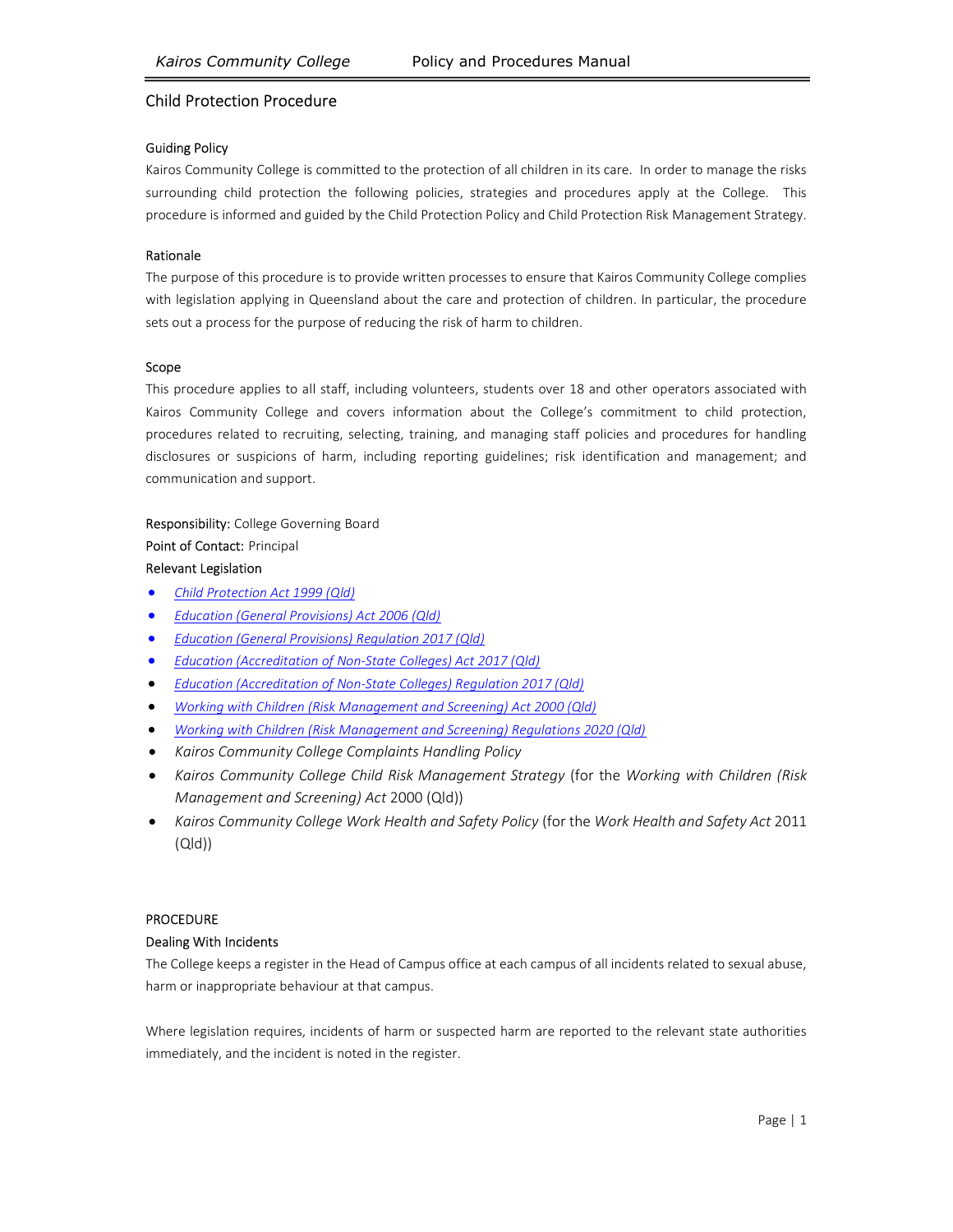# Child Protection Procedure

#### Guiding Policy

Kairos Community College is committed to the protection of all children in its care. In order to manage the risks surrounding child protection the following policies, strategies and procedures apply at the College. This procedure is informed and guided by the Child Protection Policy and Child Protection Risk Management Strategy.

#### Rationale

The purpose of this procedure is to provide written processes to ensure that Kairos Community College complies with legislation applying in Queensland about the care and protection of children. In particular, the procedure sets out a process for the purpose of reducing the risk of harm to children.

#### Scope

This procedure applies to all staff, including volunteers, students over 18 and other operators associated with Kairos Community College and covers information about the College's commitment to child protection, procedures related to recruiting, selecting, training, and managing staff policies and procedures for handling disclosures or suspicions of harm, including reporting guidelines; risk identification and management; and communication and support.

Responsibility: College Governing Board Point of Contact: Principal Relevant Legislation

- Child Protection Act 1999 (Qld)
- Education (General Provisions) Act 2006 (Qld)
- Education (General Provisions) Regulation 2017 (Qld)
- Education (Accreditation of Non-State Colleges) Act 2017 (Qld)
- Education (Accreditation of Non-State Colleges) Regulation 2017 (Qld)
- Working with Children (Risk Management and Screening) Act 2000 (Qld)
- Working with Children (Risk Management and Screening) Regulations 2020 (Qld)
- Kairos Community College Complaints Handling Policy
- Kairos Community College Child Risk Management Strategy (for the Working with Children (Risk Management and Screening) Act 2000 (Qld))
- Kairos Community College Work Health and Safety Policy (for the Work Health and Safety Act 2011 (Qld))

### PROCEDURE

### Dealing With Incidents

The College keeps a register in the Head of Campus office at each campus of all incidents related to sexual abuse, harm or inappropriate behaviour at that campus.

Where legislation requires, incidents of harm or suspected harm are reported to the relevant state authorities immediately, and the incident is noted in the register.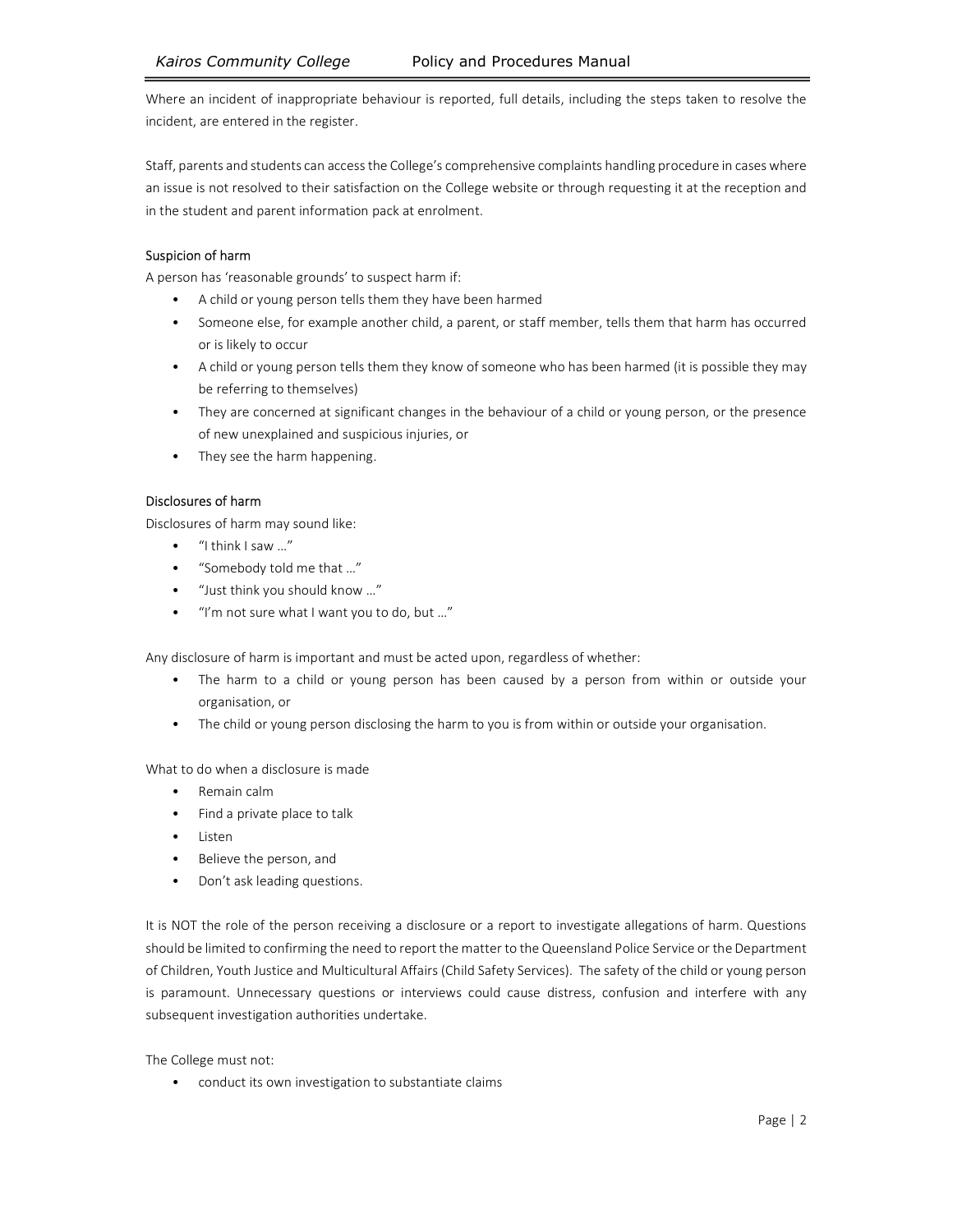Where an incident of inappropriate behaviour is reported, full details, including the steps taken to resolve the incident, are entered in the register.

Staff, parents and students can access the College's comprehensive complaints handling procedure in cases where an issue is not resolved to their satisfaction on the College website or through requesting it at the reception and in the student and parent information pack at enrolment.

# Suspicion of harm

A person has 'reasonable grounds' to suspect harm if:

- A child or young person tells them they have been harmed
- Someone else, for example another child, a parent, or staff member, tells them that harm has occurred or is likely to occur
- A child or young person tells them they know of someone who has been harmed (it is possible they may be referring to themselves)
- They are concerned at significant changes in the behaviour of a child or young person, or the presence of new unexplained and suspicious injuries, or
- They see the harm happening.

### Disclosures of harm

Disclosures of harm may sound like:

- "I think I saw …"
- "Somebody told me that …"
- "Just think you should know …"
- "I'm not sure what I want you to do, but …"

Any disclosure of harm is important and must be acted upon, regardless of whether:

- The harm to a child or young person has been caused by a person from within or outside your organisation, or
- The child or young person disclosing the harm to you is from within or outside your organisation.

What to do when a disclosure is made

- Remain calm
- Find a private place to talk
- Listen
- Believe the person, and
- Don't ask leading questions.

It is NOT the role of the person receiving a disclosure or a report to investigate allegations of harm. Questions should be limited to confirming the need to report the matter to the Queensland Police Service or the Department of Children, Youth Justice and Multicultural Affairs (Child Safety Services). The safety of the child or young person is paramount. Unnecessary questions or interviews could cause distress, confusion and interfere with any subsequent investigation authorities undertake.

The College must not:

• conduct its own investigation to substantiate claims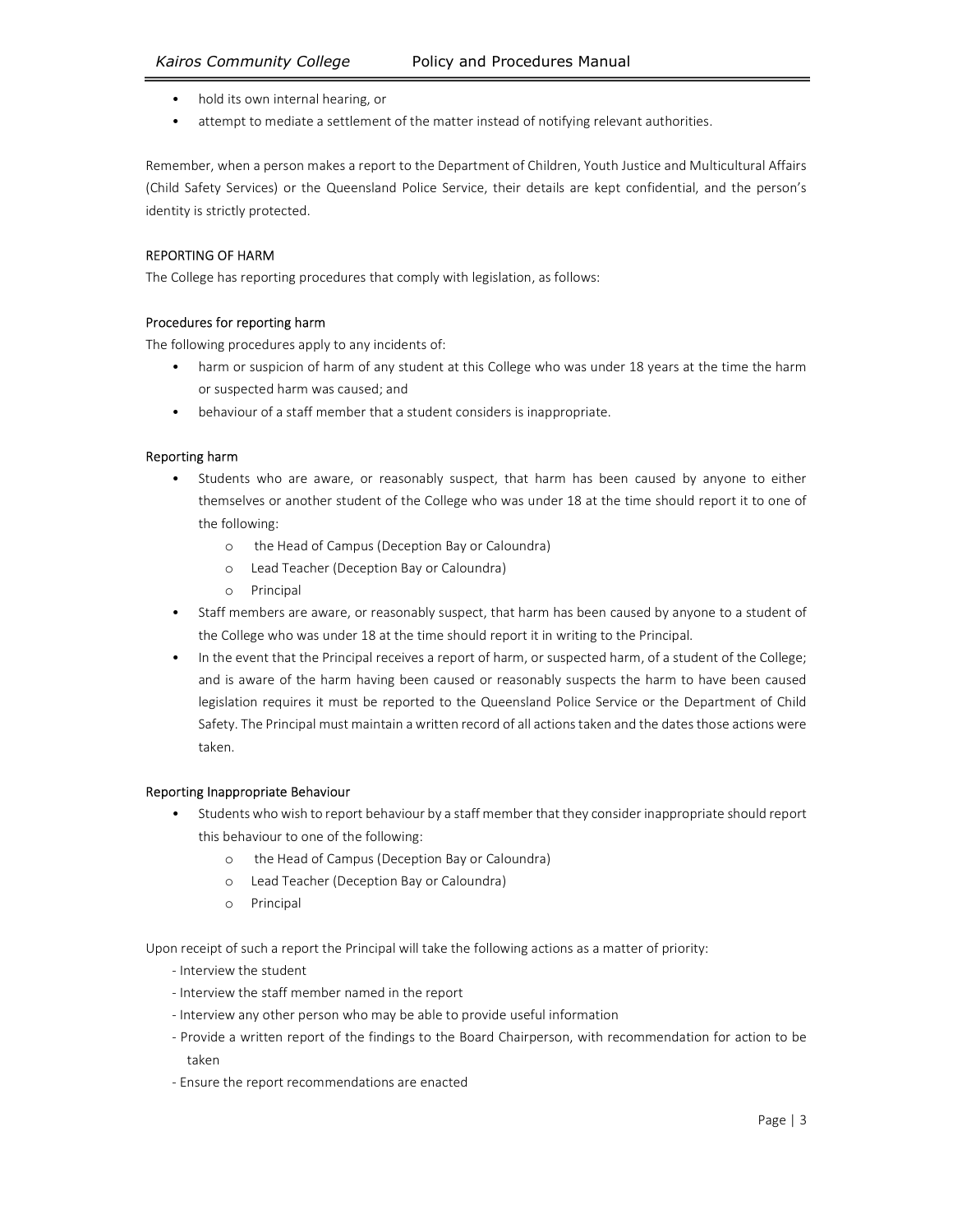- hold its own internal hearing, or
- attempt to mediate a settlement of the matter instead of notifying relevant authorities.

Remember, when a person makes a report to the Department of Children, Youth Justice and Multicultural Affairs (Child Safety Services) or the Queensland Police Service, their details are kept confidential, and the person's identity is strictly protected.

### REPORTING OF HARM

The College has reporting procedures that comply with legislation, as follows:

### Procedures for reporting harm

The following procedures apply to any incidents of:

- harm or suspicion of harm of any student at this College who was under 18 years at the time the harm or suspected harm was caused; and
- behaviour of a staff member that a student considers is inappropriate.

### Reporting harm

- Students who are aware, or reasonably suspect, that harm has been caused by anyone to either themselves or another student of the College who was under 18 at the time should report it to one of the following:
	- o the Head of Campus (Deception Bay or Caloundra)
	- o Lead Teacher (Deception Bay or Caloundra)
	- o Principal
- Staff members are aware, or reasonably suspect, that harm has been caused by anyone to a student of the College who was under 18 at the time should report it in writing to the Principal.
- In the event that the Principal receives a report of harm, or suspected harm, of a student of the College; and is aware of the harm having been caused or reasonably suspects the harm to have been caused legislation requires it must be reported to the Queensland Police Service or the Department of Child Safety. The Principal must maintain a written record of all actions taken and the dates those actions were taken.

### Reporting Inappropriate Behaviour

- Students who wish to report behaviour by a staff member that they consider inappropriate should report this behaviour to one of the following:
	- o the Head of Campus (Deception Bay or Caloundra)
	- o Lead Teacher (Deception Bay or Caloundra)
	- o Principal

Upon receipt of such a report the Principal will take the following actions as a matter of priority:

- Interview the student
- Interview the staff member named in the report
- Interview any other person who may be able to provide useful information
- Provide a written report of the findings to the Board Chairperson, with recommendation for action to be taken
- Ensure the report recommendations are enacted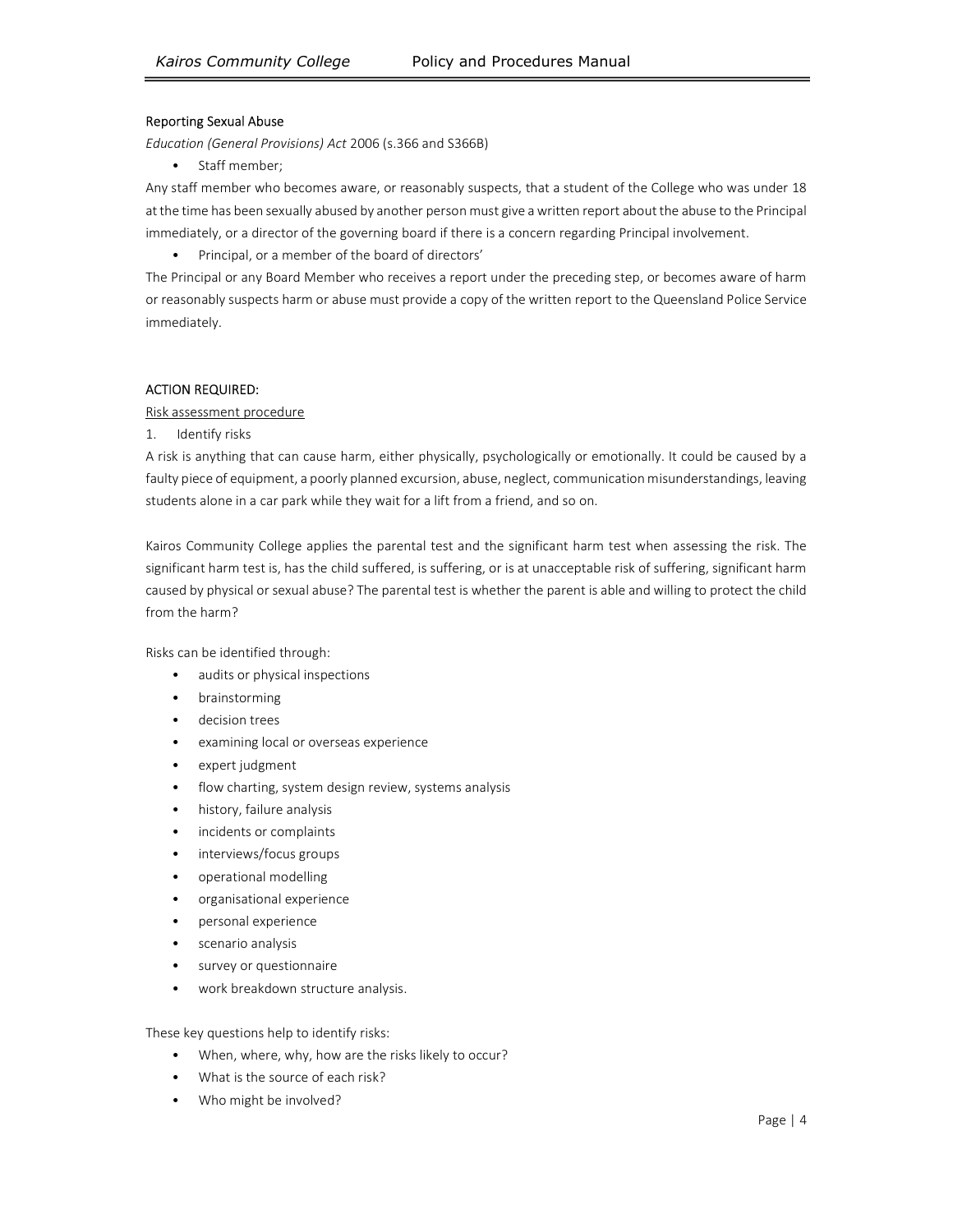#### Reporting Sexual Abuse

Education (General Provisions) Act 2006 (s.366 and S366B)

• Staff member;

Any staff member who becomes aware, or reasonably suspects, that a student of the College who was under 18 at the time has been sexually abused by another person must give a written report about the abuse to the Principal immediately, or a director of the governing board if there is a concern regarding Principal involvement.

• Principal, or a member of the board of directors'

The Principal or any Board Member who receives a report under the preceding step, or becomes aware of harm or reasonably suspects harm or abuse must provide a copy of the written report to the Queensland Police Service immediately.

### ACTION REQUIRED:

Risk assessment procedure

1. Identify risks

A risk is anything that can cause harm, either physically, psychologically or emotionally. It could be caused by a faulty piece of equipment, a poorly planned excursion, abuse, neglect, communication misunderstandings, leaving students alone in a car park while they wait for a lift from a friend, and so on.

Kairos Community College applies the parental test and the significant harm test when assessing the risk. The significant harm test is, has the child suffered, is suffering, or is at unacceptable risk of suffering, significant harm caused by physical or sexual abuse? The parental test is whether the parent is able and willing to protect the child from the harm?

Risks can be identified through:

- audits or physical inspections
- brainstorming
- decision trees
- examining local or overseas experience
- expert judgment
- flow charting, system design review, systems analysis
- history, failure analysis
- incidents or complaints
- interviews/focus groups
- operational modelling
- organisational experience
- personal experience
- scenario analysis
- survey or questionnaire
- work breakdown structure analysis.

These key questions help to identify risks:

- When, where, why, how are the risks likely to occur?
- What is the source of each risk?
- Who might be involved?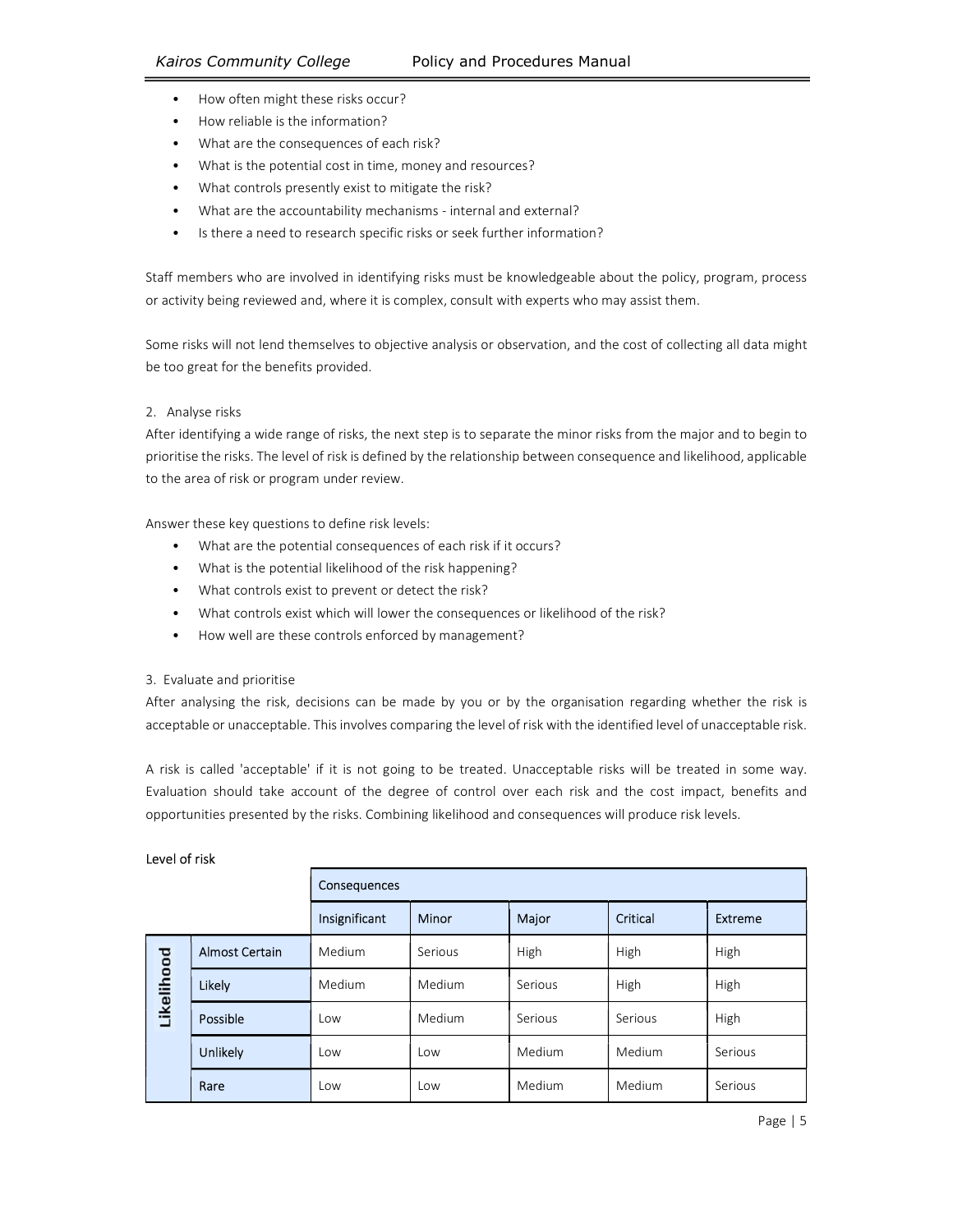- 
- 
- 
- 
- 
- 
- How often might these risks occur?<br>
How reliable is the information?<br>
What are the consequences of each risk?<br>
What is the potential cost in time, money and resources?<br>
What controls presently exist to mitigate t

Staff members who are involved in identifying risks must be knowledgeable about the policy, program, process or activity being reviewed and, where it is complex, consult with experts who may assist them.

Some risks will not lend themselves to objective analysis or observation, and the cost of collecting all data might be too great for the benefits provided.

### 2. Analyse risks

After identifying a wide range of risks, the next step is to separate the minor risks from the major and to begin to prioritise the risks. The level of risk is defined by the relationship between consequence and likelihood, applicable to the area of risk or program under review.

- 
- 
- 
- Answer these key questions to define risk levels:<br>
What are the potential consequences of each risk if it occurs?<br>
What is the potential likelihood of the risk happening?<br>
What controls exist to prevent or detect th
	-
- 3. Evaluate and prioritise

After analysing the risk, decisions can be made by you or by the organisation regarding whether the risk is acceptable or unacceptable. This involves comparing the level of risk with the identified level of unacceptable risk.

A risk is called 'acceptable' if it is not going to be treated. Unacceptable risks will be treated in some way. Evaluation should take account of the degree of control over each risk and the cost impact, benefits and opportunities presented by the risks. Combining likelihood and consequences will produce risk levels.

|            |                       | Consequences  |         |         |          |         |
|------------|-----------------------|---------------|---------|---------|----------|---------|
|            |                       | Insignificant | Minor   | Major   | Critical | Extreme |
| Likelihood | <b>Almost Certain</b> | Medium        | Serious | High    | High     | High    |
|            | <b>Likely</b>         | Medium        | Medium  | Serious | High     | High    |
|            | Possible              | Low           | Medium  | Serious | Serious  | High    |
|            | Unlikely              | Low           | Low     | Medium  | Medium   | Serious |
|            | Rare                  | Low           | Low     | Medium  | Medium   | Serious |

### Level of risk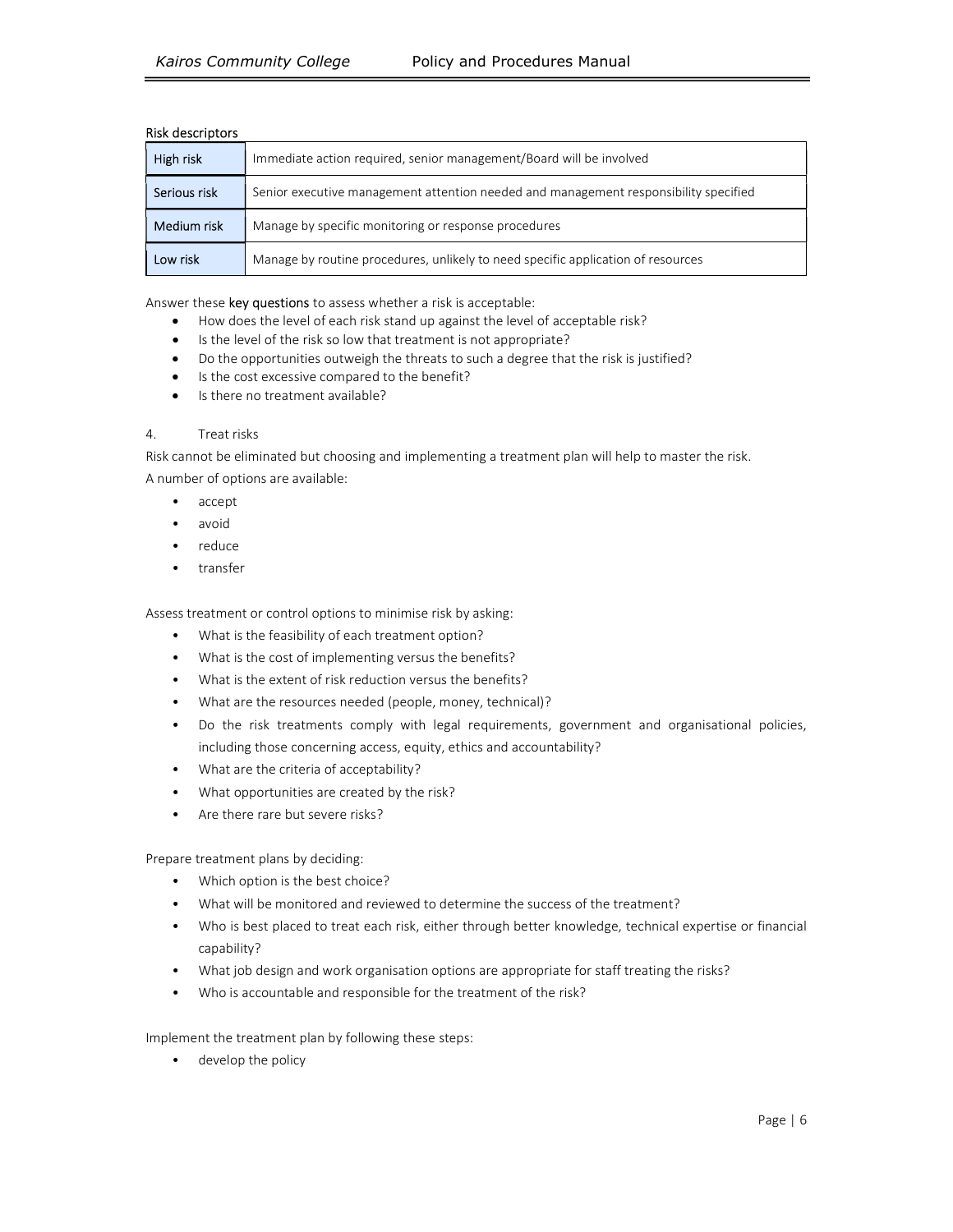## Risk descriptors

| High risk    | Immediate action required, senior management/Board will be involved                  |  |  |  |  |
|--------------|--------------------------------------------------------------------------------------|--|--|--|--|
| Serious risk | Senior executive management attention needed and management responsibility specified |  |  |  |  |
| Medium risk  | Manage by specific monitoring or response procedures                                 |  |  |  |  |
| Low risk     | Manage by routine procedures, unlikely to need specific application of resources     |  |  |  |  |

Answer these key questions to assess whether a risk is acceptable:

- How does the level of each risk stand up against the level of acceptable risk?
- Is the level of the risk so low that treatment is not appropriate?
- Do the opportunities outweigh the threats to such a degree that the risk is justified?
- Is the cost excessive compared to the benefit?
- Is there no treatment available?

### 4. Treat risks

Risk cannot be eliminated but choosing and implementing a treatment plan will help to master the risk. A number of options are available:

- accept
- avoid
- reduce
- transfer

Assess treatment or control options to minimise risk by asking:

- What is the feasibility of each treatment option?
- What is the cost of implementing versus the benefits?
- What is the extent of risk reduction versus the benefits?
- What are the resources needed (people, money, technical)?
- Do the risk treatments comply with legal requirements, government and organisational policies, including those concerning access, equity, ethics and accountability?
- What are the criteria of acceptability?
- What opportunities are created by the risk?
- Are there rare but severe risks?

Prepare treatment plans by deciding:

- Which option is the best choice?
- What will be monitored and reviewed to determine the success of the treatment?
- Who is best placed to treat each risk, either through better knowledge, technical expertise or financial capability?
- What job design and work organisation options are appropriate for staff treating the risks?
- Who is accountable and responsible for the treatment of the risk?

Implement the treatment plan by following these steps:

• develop the policy